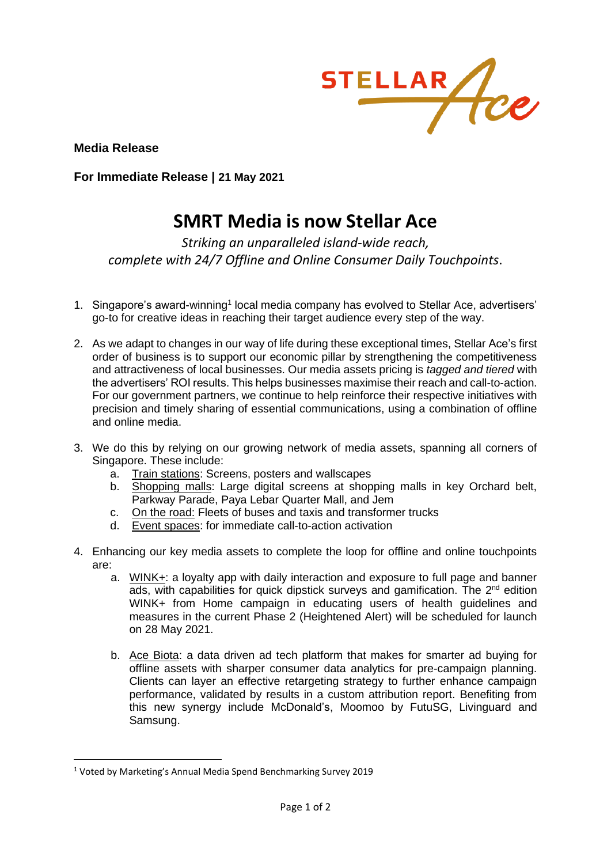

**Media Release**

**For Immediate Release | 21 May 2021**

## **SMRT Media is now Stellar Ace**

*Striking an unparalleled island-wide reach, complete with 24/7 Offline and Online Consumer Daily Touchpoints*.

- 1. Singapore's award-winning<sup>1</sup> local media company has evolved to Stellar Ace, advertisers' go-to for creative ideas in reaching their target audience every step of the way.
- 2. As we adapt to changes in our way of life during these exceptional times, Stellar Ace's first order of business is to support our economic pillar by strengthening the competitiveness and attractiveness of local businesses. Our media assets pricing is *tagged and tiered* with the advertisers' ROI results. This helps businesses maximise their reach and call-to-action. For our government partners, we continue to help reinforce their respective initiatives with precision and timely sharing of essential communications, using a combination of offline and online media.
- 3. We do this by relying on our growing network of media assets, spanning all corners of Singapore. These include:
	- a. Train stations: Screens, posters and wallscapes
	- b. Shopping malls: Large digital screens at shopping malls in key Orchard belt, Parkway Parade, Paya Lebar Quarter Mall, and Jem
	- c. On the road: Fleets of buses and taxis and transformer trucks
	- d. Event spaces: for immediate call-to-action activation
- 4. Enhancing our key media assets to complete the loop for offline and online touchpoints are:
	- a. WINK+: a loyalty app with daily interaction and exposure to full page and banner ads, with capabilities for quick dipstick surveys and gamification. The 2<sup>nd</sup> edition WINK+ from Home campaign in educating users of health guidelines and measures in the current Phase 2 (Heightened Alert) will be scheduled for launch on 28 May 2021.
	- b. Ace Biota: a data driven ad tech platform that makes for smarter ad buying for offline assets with sharper consumer data analytics for pre-campaign planning. Clients can layer an effective retargeting strategy to further enhance campaign performance, validated by results in a custom attribution report. Benefiting from this new synergy include McDonald's, Moomoo by FutuSG, Livinguard and Samsung.

<sup>1</sup> Voted by Marketing's Annual Media Spend Benchmarking Survey 2019